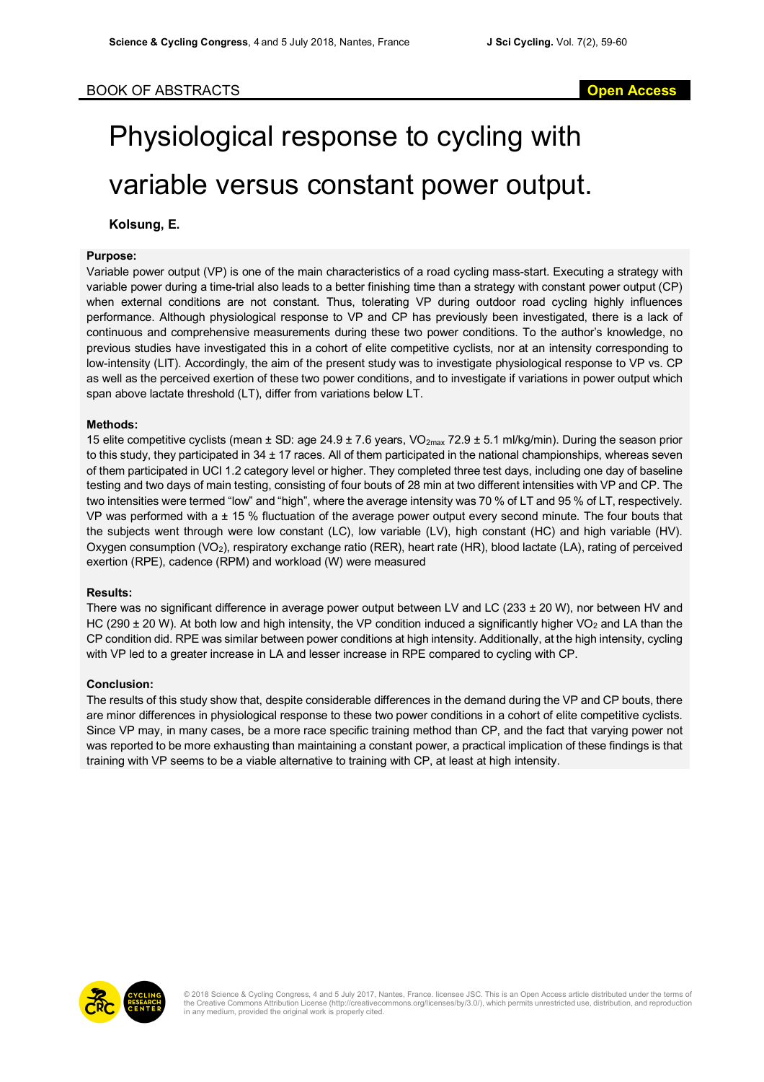# Physiological response to cycling with variable versus constant power output.

# **Kolsung, E.**

#### **Purpose:**

Variable power output (VP) is one of the main characteristics of a road cycling mass-start. Executing a strategy with variable power during a time-trial also leads to a better finishing time than a strategy with constant power output (CP) when external conditions are not constant. Thus, tolerating VP during outdoor road cycling highly influences performance. Although physiological response to VP and CP has previously been investigated, there is a lack of continuous and comprehensive measurements during these two power conditions. To the author's knowledge, no previous studies have investigated this in a cohort of elite competitive cyclists, nor at an intensity corresponding to low-intensity (LIT). Accordingly, the aim of the present study was to investigate physiological response to VP vs. CP as well as the perceived exertion of these two power conditions, and to investigate if variations in power output which span above lactate threshold (LT), differ from variations below LT.

### **Methods:**

15 elite competitive cyclists (mean ± SD: age 24.9 ± 7.6 years, VO2max 72.9 ± 5.1 ml/kg/min). During the season prior to this study, they participated in 34 ± 17 races. All of them participated in the national championships, whereas seven of them participated in UCI 1.2 category level or higher. They completed three test days, including one day of baseline testing and two days of main testing, consisting of four bouts of 28 min at two different intensities with VP and CP. The two intensities were termed "low" and "high", where the average intensity was 70 % of LT and 95 % of LT, respectively. VP was performed with a  $\pm$  15 % fluctuation of the average power output every second minute. The four bouts that the subjects went through were low constant (LC), low variable (LV), high constant (HC) and high variable (HV). Oxygen consumption (VO2), respiratory exchange ratio (RER), heart rate (HR), blood lactate (LA), rating of perceived exertion (RPE), cadence (RPM) and workload (W) were measured

#### **Results:**

There was no significant difference in average power output between LV and LC (233  $\pm$  20 W), nor between HV and HC (290  $\pm$  20 W). At both low and high intensity, the VP condition induced a significantly higher VO<sub>2</sub> and LA than the CP condition did. RPE was similar between power conditions at high intensity. Additionally, at the high intensity, cycling with VP led to a greater increase in LA and lesser increase in RPE compared to cycling with CP.

## **Conclusion:**

The results of this study show that, despite considerable differences in the demand during the VP and CP bouts, there are minor differences in physiological response to these two power conditions in a cohort of elite competitive cyclists. Since VP may, in many cases, be a more race specific training method than CP, and the fact that varying power not was reported to be more exhausting than maintaining a constant power, a practical implication of these findings is that training with VP seems to be a viable alternative to training with CP, at least at high intensity.